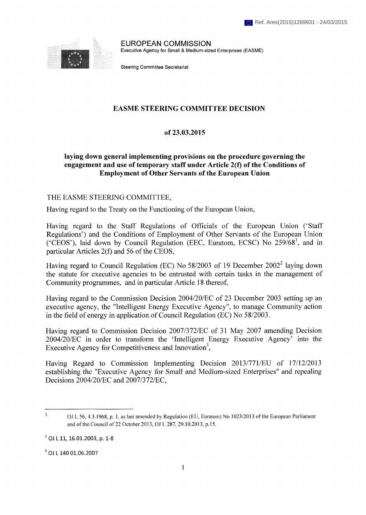

EUROPEAN COMMISSION Executive Agency for Small & Medium-sized Enterprises (EASME)

Steering Committee Secretariat

### **EASME STEERING COMMITTEE DECISION**

### **of 23.03.2015**

### **laying down general implementing provisions on the procedure governing the engagement and use of temporary staff under Article 2(f) of the Conditions of Employment of Other Servants of the European Union**

#### THE EASME STEERING COMMITTEE,

Having regard to the Treaty on the Functioning of the European Union,

Having regard to the Staff Regulations of Officials of the European Union ('Staff Regulations') and the Conditions of Employment of Other Servants of the European Union ('CEOS'), laid down by Council Regulation (EEC, Euratom, ECSC) No 259/68<sup>1</sup> , and in particular Articles 2(f) and 56 of the CEOS,

Having regard to Council Regulation (EC) No  $58/2003$  of 19 December  $2002^2$  laying down the statute for executive agencies to be entrusted with certain tasks in the management of Community programmes, and in particular Article 18 thereof,

Having regard to the Commission Decision 2004/20/EC of 23 December 2003 setting up an executive agency, the "Intelligent Energy Executive Agency", to manage Community action in the field of energy in application of Council Regulation (EC) No 58/2003.

Having regard to Commission Decision 2007/372/EC of 31 May 2007 amending Decision 2004/20/EC in order to transform the 'Intelligent Energy Executive Agency' into the Executive Agency for Competitiveness and Innovation<sup>3</sup>,

Having Regard to Commission Implementing Decision 2013/771/EU of 17/12/2013 establishing the "Executive Agency for Small and Medium-sized Enterprises" and repealing Decisions 2004/20/EC and 2007/372/EC,

 $3$  OJ L 140 01.06.2007

 $\mathbf{1}$ OJ L 56, 4.3.1968, p. 1, as last amended by Regulation (EU, Euratom) No 1023/2013 of the European Parliament and of the Council of 22 October 2013, OJ L 287, 29.10.2013, p.15.

 $^{2}$  OJ L 11, 16.01.2003, p. 1-8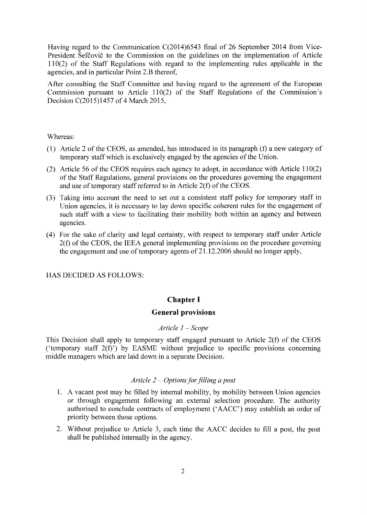Having regard to the Communication C(2014)6543 final of 26 September 2014 from Vice-President Šefčovič to the Commission on the guidelines on the implementation of Article 110(2) of the Staff Regulations with regard to the implementing rules applicable in the agencies, and in particular Point 2.B thereof,

After consulting the Staff Committee and having regard to the agreement of the European Commission pursuant to Article 110(2) of the Staff Regulations of the Commission's Decision C(2015)1457 of 4 March 2015,

Whereas:

- (1) Article 2 of the CEOS, as amended, has introduced in its paragraph (f) a new category of temporary staff which is exclusively engaged by the agencies of the Union.
- (2) Article 56 of the CEOS requires each agency to adopt, in accordance with Article 110(2) of the Staff Regulations, general provisions on the procedures governing the engagement and use of temporary staff referred to in Article *2(f)* of the CEOS.
- (3) Taking into account the need to set out a consistent staff policy for temporary staff in Union agencies, it is necessary to lay down specific coherent rules for the engagement of such staff with a view to facilitating their mobility both within an agency and between agencies.
- (4) For the sake of clarity and legal certainty, with respect to temporary staff under Article 2(f) of the CEOS, the IEEA general implementing provisions on the procedure governing the engagement and use of temporary agents of 21.12.2006 should no longer apply,

HAS DECIDED AS FOLLOWS:

## **Chapter I**

### **General provisions**

### *Article 1 - Scope*

This Decision shall apply to temporary staff engaged pursuant to Article 2(f) of the CEOS ('temporary staff 2(f)') by EASME without prejudice to specific provisions concerning middle managers which are laid down in a separate Decision.

### *Article 2 — Options for filling a post*

- 1. A vacant post may be filled by internal mobility, by mobility between Union agencies or through engagement following an external selection procedure. The authority authorised to conclude contracts of employment ('AACC') may establish an order of priority between those options.
- 2. Without prejudice to Article 3, each time the AACC decides to fill a post, the post shall be published internally in the agency.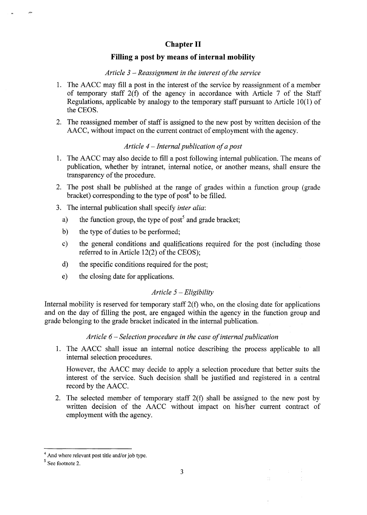## **Chapter II**

## **Filling a post by means of internal mobility**

#### *Article 3 - Reassignment in the interest of the service*

- 1. The AACC may fill a post in the interest of the service by reassignment of a member of temporary staff 2(f) of the agency in accordance with Article 7 of the Staff Regulations, applicable by analogy to the temporary staff pursuant to Article 10(1) of the CEOS.
- 2. The reassigned member of staff is assigned to the new post by written decision of the AACC, without impact on the current contract of employment with the agency.

#### *Article 4 - Internal publication of a post*

- 1. The AACC may also decide to fill a post following internal publication. The means of publication, whether by intranet, internal notice, or another means, shall ensure the transparency of the procedure.
- 2. The post shall be published at the range of grades within a function group (grade bracket) corresponding to the type of post<sup>4</sup> to be filled.
- 3. The internal publication shall specify *inter alia:* 
	- a) the function group, the type of post<sup>5</sup> and grade bracket;
	- b) the type of duties to be performed;
	- c) the general conditions and qualifications required for the post (including those referred to in Article 12(2) of the CEOS);
	- d) the specific conditions required for the post;
	- e) the closing date for applications.

### *Article 5 — Eligibility*

Internal mobility is reserved for temporary staff  $2(f)$  who, on the closing date for applications and on the day of filling the post, are engaged within the agency in the function group and grade belonging to the grade bracket indicated in the internal publication.

### *Article 6 - Selection procedure in the case of internal publication*

1. The AACC shall issue an internal notice describing the process applicable to all internal selection procedures.

However, the AACC may decide to apply a selection procedure that better suits the interest of the service. Such decision shall be justified and registered in a central record by the AACC.

2. The selected member of temporary staff 2(f) shall be assigned to the new post by written decision of the AACC without impact on his/her current contract of employment with the agency.

<sup>&</sup>lt;sup>4</sup> And where relevant post title and/or job type.

<sup>&</sup>lt;sup>5</sup> See footnote 2.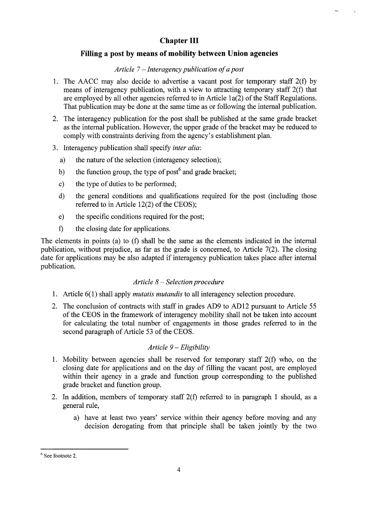# **Chapter III**

## **Filling a post by means of mobility between Union agencies**

### *Article* 7 - *Interagency publication of a post*

- 1. The AACC may also decide to advertise a vacant post for temporary staff 2(f) by means of interagency publication, with a view to attracting temporary staff 2(f) that are employed by all other agencies referred to in Article la(2) of the Staff Regulations. That publication may be done at the same time as or following the internal publication.
- 2. The interagency publication for the post shall be published at the same grade bracket as the internal publication. However, the upper grade of the bracket may be reduced to comply with constraints deriving from the agency's establishment plan.
- 3. Interagency publication shall specify *inter alia:* 
	- a) the nature of the selection (interagency selection);
	- b) the function group, the type of post  $\theta$  and grade bracket;
	- c) the type of duties to be performed;
	- d) the general conditions and qualifications required for the post (including those referred to in Article 12(2) of the CEOS);
	- e) the specific conditions required for the post;
	- f) the closing date for applications.

The elements in points (a) to (f) shall be the same as the elements indicated in the internal publication, without prejudice, as far as the grade is concerned, to Article 7(2). The closing date for applications may be also adapted if interagency publication takes place after internal publication.

#### *Article 8 — Selection procedure*

- 1. Article 6(1) shall apply *mutatis mutandis* to all interagency selection procedure.
- 2. The conclusion of contracts with staff in grades AD9 to AD12 pursuant to Article 55 of the CEOS in the framework of interagency mobility shall not be taken into account for calculating the total number of engagements in those grades referred to in the second paragraph of Article 53 of the CEOS.

### *Article 9 - Eligibility*

- 1. Mobility between agencies shall be reserved for temporary staff 2(f) who, on the closing date for applications and on the day of filling the vacant post, are employed within their agency in a grade and function group corresponding to the published grade bracket and function group.
- 2. In addition, members of temporary staff 2(f) referred to in paragraph 1 should, as a general rule,
	- a) have at least two years' service within their agency before moving and any decision derogating from that principle shall be taken jointly by the two

 $6$  See footnote 2.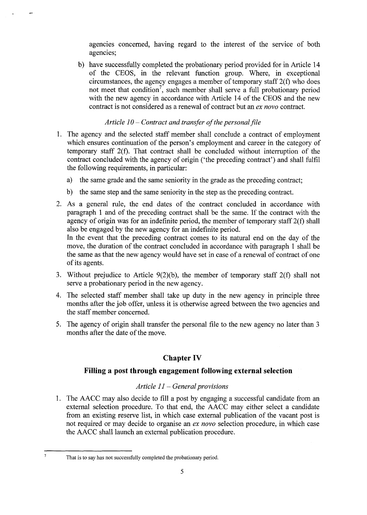agencies concerned, having regard to the interest of the service of both agencies;

b) have successfully completed the probationary period provided for in Article 14 of the CEOS, in the relevant function group. Where, in exceptional circumstances, the agency engages a member of temporary staff 2(f) who does not meet that condition<sup>7</sup>, such member shall serve a full probationary period with the new agency in accordance with Article 14 of the CEOS and the new contract is not considered as a renewal of contract but an *ex novo* contract.

### *Article 10- Contract and transfer of the personal file*

- 1. The agency and the selected staff member shall conclude a contract of employment which ensures continuation of the person's employment and career in the category of temporary staff 2(f). That contract shall be concluded without interruption of the contract concluded with the agency of origin ('the preceding contract') and shall fulfil the following requirements, in particular:
	- a) the same grade and the same seniority in the grade as the preceding contract;
	- b) the same step and the same seniority in the step as the preceding contract.
- 2. As a general rule, the end dates of the contract concluded in accordance with paragraph 1 and of the preceding contract shall be the same. If the contract with the agency of origin was for an indefinite period, the member of temporary staff 2(f) shall also be engaged by the new agency for an indefinite period.

In the event that the preceding contract comes to its natural end on the day of the move, the duration of the contract concluded in accordance with paragraph 1 shall be the same as that the new agency would have set in case of a renewal of contract of one of its agents.

- 3. Without prejudice to Article 9(2)(b), the member of temporary staff 2(f) shall not serve a probationary period in the new agency.
- 4. The selected staff member shall take up duty in the new agency in principle three months after the job offer, unless it is otherwise agreed between the two agencies and the staff member concerned.
- 5. The agency of origin shall transfer the personal file to the new agency no later than 3 months after the date of the move.

# **Chapter IV**

## **Filling a post through engagement following external selection**

### *Article 11 - General provisions*

1. The AACC may also decide to fill a post by engaging a successful candidate from an external selection procedure. To that end, the AACC may either select a candidate from an existing reserve list, in which case external publication of the vacant post is not required or may decide to organise an *ex novo* selection procedure, in which case the AACC shall launch an external publication procedure.

 $\overline{7}$ 

That is to say has not successfully completed the probationary period.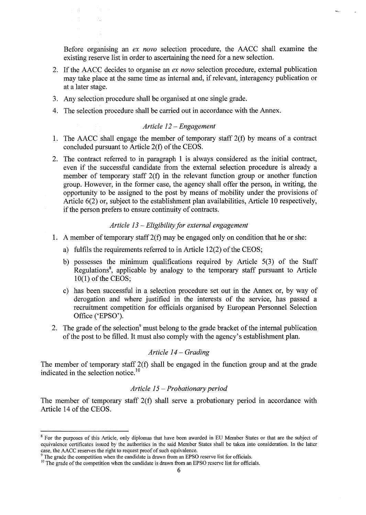Before organising an *ex novo* selection procedure, the AACC shall examine the existing reserve list in order to ascertaining the need for a new selection.

- 2. If the AACC decides to organise an *ex novo* selection procedure, external publication may take place at the same time as internal and, if relevant, interagency publication or at a later stage.
- 3. Any selection procedure shall be organised at one single grade.
- 4. The selection procedure shall be carried out in accordance with the Annex.

#### *Article 12 - Engagement*

- 1. The AACC shall engage the member of temporary staff 2(f) by means of a contract concluded pursuant to Article 2(f) of the CEOS.
- 2. The contract referred to in paragraph 1 is always considered as the initial contract, even if the successful candidate from the external selection procedure is already a member of temporary staff 2(f) in the relevant function group or another function group. However, in the former case, the agency shall offer the person, in writing, the opportunity to be assigned to the post by means of mobility under the provisions of Article 6(2) or, subject to the establishment plan availabilities, Article 10 respectively, if the person prefers to ensure continuity of contracts.

### *Article 13- Eligibility for external engagement*

- 1. A member of temporary staff 2(f) may be engaged only on condition that he or she:
	- a) fulfils the requirements referred to in Article 12(2) of the CEOS;
	- b) possesses the minimum qualifications required by Article 5(3) of the Staff Regulations<sup>8</sup>, applicable by analogy to the temporary staff pursuant to Article 10(1) of the CEOS;
	- c) has been successful in a selection procedure set out in the Annex or, by way of derogation and where justified in the interests of the service, has passed a recruitment competition for officials organised by European Personnel Selection Office ('EPSO').
- 2. The grade of the selection<sup>9</sup> must belong to the grade bracket of the internal publication of the post to be filled. It must also comply with the agency's establishment plan.

#### *Article 14 - Grading*

The member of temporary staff 2(f) shall be engaged in the function group and at the grade indicated in the selection notice.<sup>10</sup>

#### *Article 15 - Probationary period*

The member of temporary staff 2(f) shall serve a probationary period in accordance with Article 14 of the CEOS.

<sup>&</sup>lt;sup>8</sup> For the purposes of this Article, only diplomas that have been awarded in EU Member States or that are the subject of equivalence certificates issued by the authorities in the said Member States shall be taken into consideration. In the latter case, the AACC reserves the right to request proof of such equivalence.

 $9<sup>9</sup>$  The grade the competition when the candidate is drawn from an EPSO reserve list for officials.

<sup>&</sup>lt;sup>10</sup> The grade of the competition when the candidate is drawn from an EPSO reserve list for officials.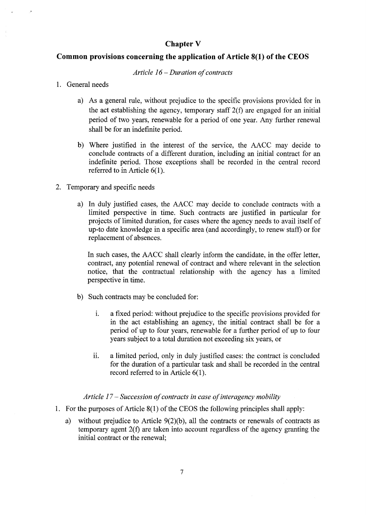## **Chapter V**

## **Common provisions concerning the application of Article 8(1) of the CEOS**

#### *Article 16 - Duration of contracts*

### 1. General needs

- a) As a general rule, without prejudice to the specific provisions provided for in the act establishing the agency, temporary staff 2(f) are engaged for an initial period of two years, renewable for a period of one year. Any further renewal shall be for an indefinite period.
- b) Where justified in the interest of the service, the AACC may decide to conclude contracts of a different duration, including an initial contract for an indefinite period. Those exceptions shall be recorded in the central record referred to in Article 6(1).
- 2. Temporary and specific needs
	- a) In duly justified cases, the AACC may decide to conclude contracts with a limited perspective in time. Such contracts are justified in particular for projects of limited duration, for cases where the agency needs to avail itself of up-to date knowledge in a specific area (and accordingly, to renew staff) or for replacement of absences.

In such cases, the AACC shall clearly inform the candidate, in the offer letter, contract, any potential renewal of contract and where relevant in the selection notice, that the contractual relationship with the agency has a limited perspective in time.

- b) Such contracts may be concluded for:
	- i. a fixed period: without prejudice to the specific provisions provided for in the act establishing an agency, the initial contract shall be for a period of up to four years, renewable for a further period of up to four years subject to a total duration not exceeding six years, or
	- ii. a limited period, only in duly justified cases: the contract is concluded for the duration of a particular task and shall be recorded in the central record referred to in Article 6(1).

### *Article 17 - Succession of contracts in case of interagency mobility*

- 1. For the purposes of Article 8(1) of the CEOS the following principles shall apply:
	- a) without prejudice to Article 9(2)(b), all the contracts or renewals of contracts as temporary agent 2(f) are taken into account regardless of the agency granting the initial contract or the renewal;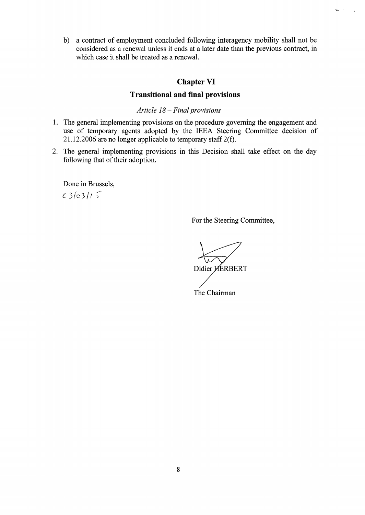b) a contract of employment concluded following interagency mobility shall not be considered as a renewal unless it ends at a later date than the previous contract, in which case it shall be treated as a renewal.

## **Chapter VI**

# **Transitional and final provisions**

### *Article 18- Final provisions*

- 1. The general implementing provisions on the procedure governing the engagement and use of temporary agents adopted by the IEEA Steering Committee decision of 21.12.2006 are no longer applicable to temporary staff 2(f).
- 2. The general implementing provisions in this Decision shall take effect on the day following that of their adoption.

Done in Brussels,  $23/03/15$ 

For the Steering Committee,

 $\overline{1}$ 

Didier HERBERT The Chairman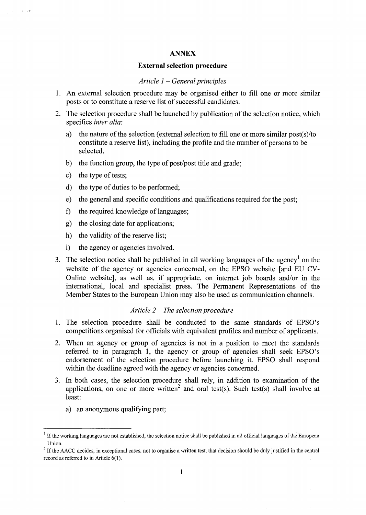#### **ANNEX**

#### **External selection procedure**

#### *Article 1 - General principles*

- 1. An external selection procedure may be organised either to fill one or more similar posts or to constitute a reserve list of successful candidates.
- 2. The selection procedure shall be launched by publication of the selection notice, which specifies *inter alia:* 
	- a) the nature of the selection (external selection to fill one or more similar post(s)/to constitute a reserve list), including the profile and the number of persons to be selected,
	- b) the function group, the type of post/post title and grade;
	- c) the type of tests;

 $\epsilon = 19$ 

- d) the type of duties to be performed;
- e) the general and specific conditions and qualifications required for the post;
- f) the required knowledge of languages;
- g) the closing date for applications;
- h) the validity of the reserve list;
- i) the agency or agencies involved.
- 3. The selection notice shall be published in all working languages of the agency<sup>1</sup> on the website of the agency or agencies concerned, on the EPSO website [and EU CV-Online website], as well as, if appropriate, on internet job boards and/or in the international, local and specialist press. The Permanent Representations of the Member States to the European Union may also be used as communication channels.

### *Article 2 - The selection procedure*

- 1. The selection procedure shall be conducted to the same standards of EPSO's competitions organised for officials with equivalent profiles and number of applicants.
- 2. When an agency or group of agencies is not in a position to meet the standards referred to in paragraph 1, the agency or group of agencies shall seek EPSO's endorsement of the selection procedure before launching it. EPSO shall respond within the deadline agreed with the agency or agencies concerned.
- 3. In both cases, the selection procedure shall rely, in addition to examination of the applications, on one or more written<sup>2</sup> and oral test(s). Such test(s) shall involve at least:
	- a) an anonymous qualifying part;

<sup>&</sup>lt;sup>1</sup> If the working languages are not established, the selection notice shall be published in all official languages of the European Union.

<sup>&</sup>lt;sup>2</sup> If the AACC decides, in exceptional cases, not to organise a written test, that decision should be duly justified in the central record as referred to in Article 6(1).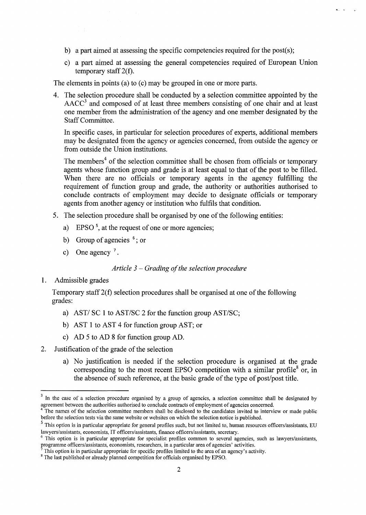- b) a part aimed at assessing the specific competencies required for the post(s);
- c) a part aimed at assessing the general competencies required of European Union temporary staff 2(f).

The elements in points (a) to (c) may be grouped in one or more parts.

4. The selection procedure shall be conducted by a selection committee appointed by the  $AACC<sup>3</sup>$  and composed of at least three members consisting of one chair and at least one member from the administration of the agency and one member designated by the Staff Committee.

In specific cases, in particular for selection procedures of experts, additional members may be designated from the agency or agencies concerned, from outside the agency or from outside the Union institutions.

The members<sup>4</sup> of the selection committee shall be chosen from officials or temporary agents whose function group and grade is at least equal to that of the post to be filled. When there are no officials or temporary agents in the agency fulfilling the requirement of function group and grade, the authority or authorities authorised to conclude contracts of employment may decide to designate officials or temporary agents from another agency or institution who fulfils that condition.

- 5. The selection procedure shall be organised by one of the following entities:
	- a) EPSO<sup>5</sup>, at the request of one or more agencies;
	- b) Group of agencies  $<sup>6</sup>$ ; or</sup>
	- c) One agency  $^7$ .

#### *Article 3 - Grading of the selection procedure*

#### 1. Admissible grades

Temporary staff 2(f) selection procedures shall be organised at one of the following grades:

- a) AST/ SC 1 to AST/SC 2 for the function group AST/SC;
- b) AST 1 to AST 4 for function group AST; or
- c) AD 5 to AD 8 for function group AD.
- 2. Justification of the grade of the selection
	- a) No justification is needed if the selection procedure is organised at the grade corresponding to the most recent EPSO competition with a similar profile<sup>8</sup> or, in the absence of such reference, at the basic grade of the type of post/post title.

<sup>&</sup>lt;sup>3</sup> In the case of a selection procedure organised by a group of agencies, a selection committee shall be designated by agreement between the authorities authorised to conclude contracts of employment of agencies concerned.

<sup>&</sup>lt;sup>4</sup> The names of the selection committee members shall be disclosed to the candidates invited to interview or made public before the selection tests via the same website or websites on which the selection notice is published.

<sup>&</sup>lt;sup>5</sup> This option is in particular appropriate for general profiles such, but not limited to, human resources officers/assistants, EU lawyers/assistants, economists, IT officers/assistants, finance officers/assistants, secretary.

<sup>&</sup>lt;sup>6</sup> This option is in particular appropriate for specialist profiles common to several agencies, such as lawyers/assistants, programme officers/assistants, economists, researchers, in a particular area of agencies' activities.

This option is in particular appropriate for specific profiles limited to the area of an agency's activity.

<sup>&</sup>lt;sup>8</sup> The last published or already planned competition for officials organised by EPSO.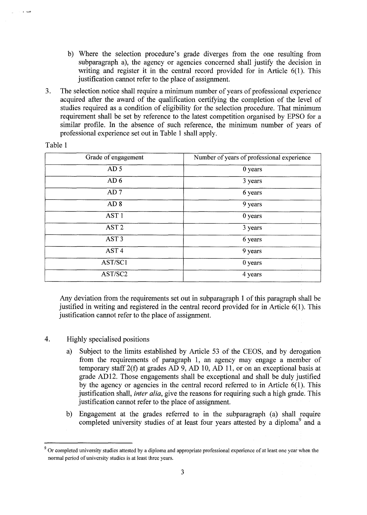- b) Where the selection procedure's grade diverges from the one resulting from subparagraph a), the agency or agencies concerned shall justify the decision in writing and register it in the central record provided for in Article 6(1). This justification cannot refer to the place of assignment.
- 3. The selection notice shall require a minimum number of years of professional experience acquired after the award of the qualification certifying the completion of the level of studies required as a condition of eligibility for the selection procedure. That minimum requirement shall be set by reference to the latest competition organised by EPSO for a similar profile. In the absence of such reference, the minimum number of years of professional experience set out in Table 1 shall apply.

| Grade of engagement | Number of years of professional experience |
|---------------------|--------------------------------------------|
| AD <sub>5</sub>     | 0 years                                    |
| AD <sub>6</sub>     | 3 years                                    |
| AD <sub>7</sub>     | 6 years                                    |
| AD <sub>8</sub>     | 9 years                                    |
| AST <sub>1</sub>    | 0 years                                    |
| AST <sub>2</sub>    | 3 years                                    |
| AST <sub>3</sub>    | 6 years                                    |
| AST <sub>4</sub>    | 9 years                                    |
| AST/SC1             | 0 years                                    |
| AST/SC2             | 4 years                                    |

Table 1

Any deviation from the requirements set out in subparagraph 1 of this paragraph shall be justified in writing and registered in the central record provided for in Article 6(1). This justification cannot refer to the place of assignment.

- 4. Highly specialised positions
	- a) Subject to the limits established by Article 53 of the CEOS, and by derogation from the requirements of paragraph 1, an agency may engage a member of temporary staff 2(f) at grades AD 9, AD 10, AD 11, or on an exceptional basis at grade AD12. Those engagements shall be exceptional and shall be duly justified by the agency or agencies in the central record referred to in Article 6(1). This justification shall, *inter alia,* give the reasons for requiring such a high grade. This justification cannot refer to the place of assignment.
	- b) Engagement at the grades referred to in the subparagraph (a) shall require completed university studies of at least four years attested by a diploma<sup>9</sup> and a

<sup>&</sup>lt;sup>9</sup> Or completed university studies attested by a diploma and appropriate professional experience of at least one year when the normal period of university studies is at least three years.